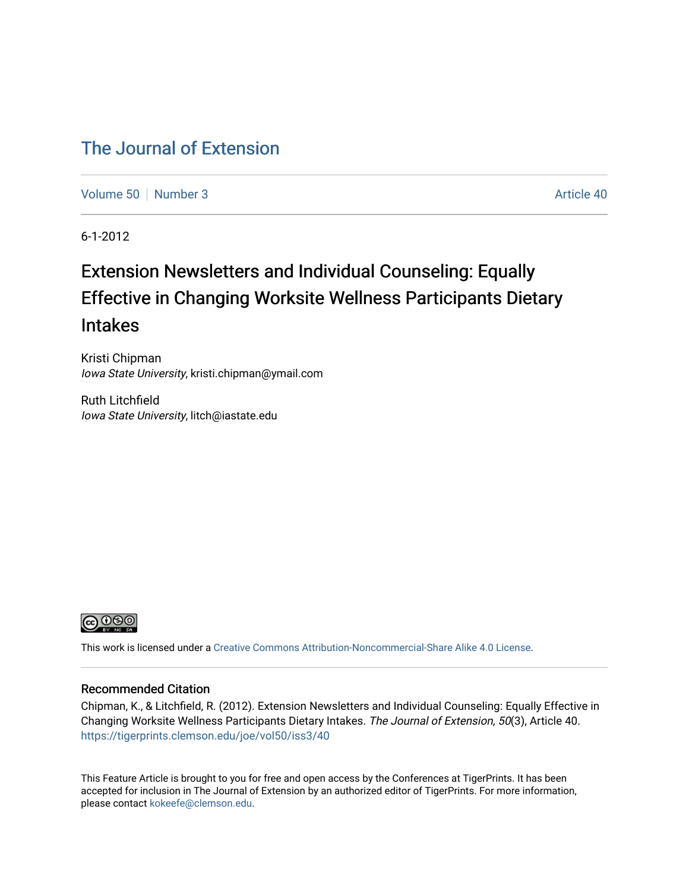## [The Journal of Extension](https://tigerprints.clemson.edu/joe)

[Volume 50](https://tigerprints.clemson.edu/joe/vol50) [Number 3](https://tigerprints.clemson.edu/joe/vol50/iss3) Article 40

6-1-2012

# Extension Newsletters and Individual Counseling: Equally Effective in Changing Worksite Wellness Participants Dietary Intakes

Kristi Chipman Iowa State University, kristi.chipman@ymail.com

Ruth Litchfield Iowa State University, litch@iastate.edu



This work is licensed under a [Creative Commons Attribution-Noncommercial-Share Alike 4.0 License.](https://creativecommons.org/licenses/by-nc-sa/4.0/)

## Recommended Citation

Chipman, K., & Litchfield, R. (2012). Extension Newsletters and Individual Counseling: Equally Effective in Changing Worksite Wellness Participants Dietary Intakes. The Journal of Extension, 50(3), Article 40. <https://tigerprints.clemson.edu/joe/vol50/iss3/40>

This Feature Article is brought to you for free and open access by the Conferences at TigerPrints. It has been accepted for inclusion in The Journal of Extension by an authorized editor of TigerPrints. For more information, please contact [kokeefe@clemson.edu](mailto:kokeefe@clemson.edu).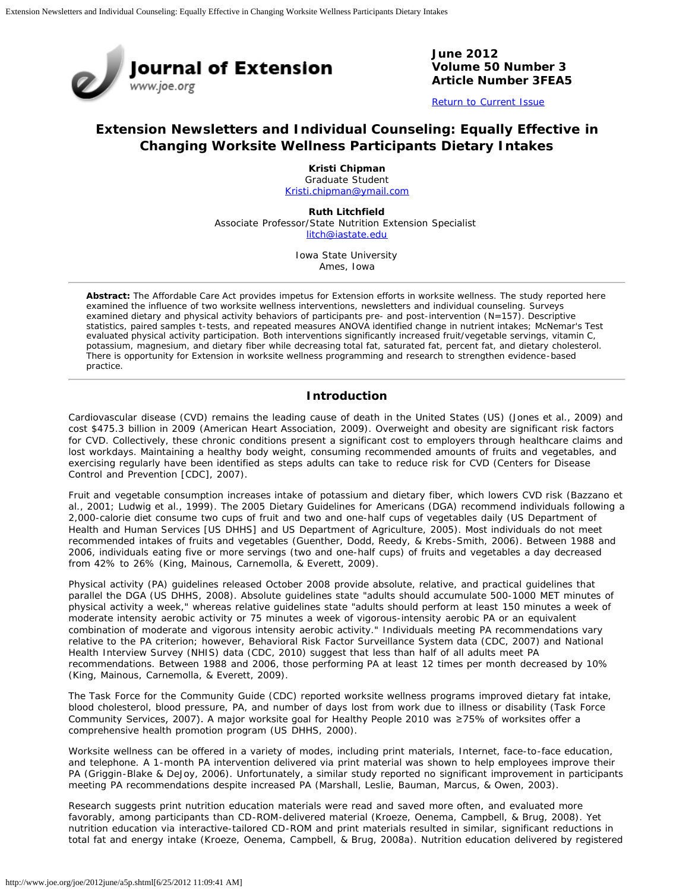

**June 2012 Volume 50 Number 3 Article Number 3FEA5**

[Return to Current Issue](http://www.joe.org/joe/2012june/)

## **Extension Newsletters and Individual Counseling: Equally Effective in Changing Worksite Wellness Participants Dietary Intakes**

**Kristi Chipman** Graduate Student [Kristi.chipman@ymail.com](mailto:Kristi.chipman@ymail.com)

**Ruth Litchfield** Associate Professor/State Nutrition Extension Specialist [litch@iastate.edu](mailto:litch@iastate.edu)

> Iowa State University Ames, Iowa

*Abstract: The Affordable Care Act provides impetus for Extension efforts in worksite wellness. The study reported here examined the influence of two worksite wellness interventions, newsletters and individual counseling. Surveys examined dietary and physical activity behaviors of participants pre- and post-intervention (N=157). Descriptive statistics, paired samples t-tests, and repeated measures ANOVA identified change in nutrient intakes; McNemar's Test evaluated physical activity participation. Both interventions significantly increased fruit/vegetable servings, vitamin C, potassium, magnesium, and dietary fiber while decreasing total fat, saturated fat, percent fat, and dietary cholesterol. There is opportunity for Extension in worksite wellness programming and research to strengthen evidence-based practice.*

### **Introduction**

Cardiovascular disease (CVD) remains the leading cause of death in the United States (US) (Jones et al., 2009) and cost \$475.3 billion in 2009 (American Heart Association, 2009). Overweight and obesity are significant risk factors for CVD. Collectively, these chronic conditions present a significant cost to employers through healthcare claims and lost workdays. Maintaining a healthy body weight, consuming recommended amounts of fruits and vegetables, and exercising regularly have been identified as steps adults can take to reduce risk for CVD (Centers for Disease Control and Prevention [CDC], 2007).

Fruit and vegetable consumption increases intake of potassium and dietary fiber, which lowers CVD risk (Bazzano et al., 2001; Ludwig et al., 1999). The 2005 Dietary Guidelines for Americans (DGA) recommend individuals following a 2,000-calorie diet consume two cups of fruit and two and one-half cups of vegetables daily (US Department of Health and Human Services [US DHHS] and US Department of Agriculture, 2005). Most individuals do not meet recommended intakes of fruits and vegetables (Guenther, Dodd, Reedy, & Krebs-Smith, 2006). Between 1988 and 2006, individuals eating five or more servings (two and one-half cups) of fruits and vegetables a day decreased from 42% to 26% (King, Mainous, Carnemolla, & Everett, 2009).

Physical activity (PA) guidelines released October 2008 provide absolute, relative, and practical guidelines that parallel the DGA (US DHHS, 2008). Absolute guidelines state "adults should accumulate 500-1000 MET minutes of physical activity a week," whereas relative guidelines state "adults should perform at least 150 minutes a week of moderate intensity aerobic activity or 75 minutes a week of vigorous-intensity aerobic PA or an equivalent combination of moderate and vigorous intensity aerobic activity." Individuals meeting PA recommendations vary relative to the PA criterion; however, Behavioral Risk Factor Surveillance System data (CDC, 2007) and National Health Interview Survey (NHIS) data (CDC, 2010) suggest that less than half of all adults meet PA recommendations. Between 1988 and 2006, those performing PA at least 12 times per month decreased by 10% (King, Mainous, Carnemolla, & Everett, 2009).

The Task Force for the Community Guide (CDC) reported worksite wellness programs improved dietary fat intake, blood cholesterol, blood pressure, PA, and number of days lost from work due to illness or disability (Task Force Community Services, 2007). A major worksite goal for Healthy People 2010 was ≥75% of worksites offer a comprehensive health promotion program (US DHHS, 2000).

Worksite wellness can be offered in a variety of modes, including print materials, Internet, face-to-face education, and telephone. A 1-month PA intervention delivered via print material was shown to help employees improve their PA (Griggin-Blake & DeJoy, 2006). Unfortunately, a similar study reported no significant improvement in participants meeting PA recommendations despite increased PA (Marshall, Leslie, Bauman, Marcus, & Owen, 2003).

Research suggests print nutrition education materials were read and saved more often, and evaluated more favorably, among participants than CD-ROM-delivered material (Kroeze, Oenema, Campbell, & Brug, 2008). Yet nutrition education via interactive-tailored CD-ROM and print materials resulted in similar, significant reductions in total fat and energy intake (Kroeze, Oenema, Campbell, & Brug, 2008a). Nutrition education delivered by registered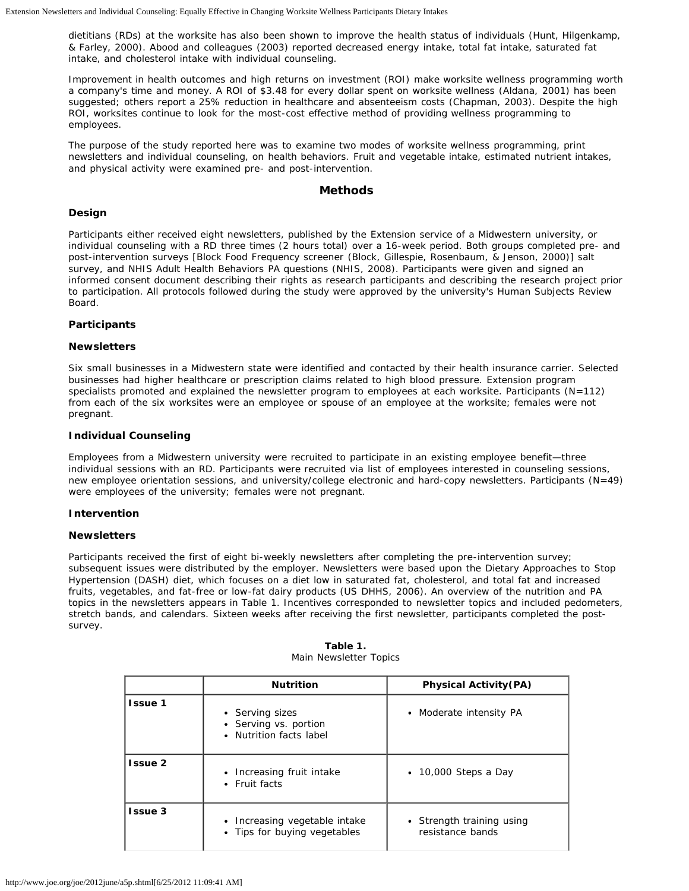dietitians (RDs) at the worksite has also been shown to improve the health status of individuals (Hunt, Hilgenkamp, & Farley, 2000). Abood and colleagues (2003) reported decreased energy intake, total fat intake, saturated fat intake, and cholesterol intake with individual counseling.

Improvement in health outcomes and high returns on investment (ROI) make worksite wellness programming worth a company's time and money. A ROI of \$3.48 for every dollar spent on worksite wellness (Aldana, 2001) has been suggested; others report a 25% reduction in healthcare and absenteeism costs (Chapman, 2003). Despite the high ROI, worksites continue to look for the most-cost effective method of providing wellness programming to employees.

The purpose of the study reported here was to examine two modes of worksite wellness programming, print newsletters and individual counseling, on health behaviors. Fruit and vegetable intake, estimated nutrient intakes, and physical activity were examined pre- and post-intervention.

#### **Methods**

#### **Design**

Participants either received eight newsletters, published by the Extension service of a Midwestern university, or individual counseling with a RD three times (2 hours total) over a 16-week period. Both groups completed pre- and post-intervention surveys [Block Food Frequency screener (Block, Gillespie, Rosenbaum, & Jenson, 2000)] salt survey, and NHIS Adult Health Behaviors PA questions (NHIS, 2008). Participants were given and signed an informed consent document describing their rights as research participants and describing the research project prior to participation. All protocols followed during the study were approved by the university's Human Subjects Review Board.

#### **Participants**

#### *Newsletters*

Six small businesses in a Midwestern state were identified and contacted by their health insurance carrier. Selected businesses had higher healthcare or prescription claims related to high blood pressure. Extension program specialists promoted and explained the newsletter program to employees at each worksite. Participants (*N*=112) from each of the six worksites were an employee or spouse of an employee at the worksite; females were not pregnant.

#### *Individual Counseling*

Employees from a Midwestern university were recruited to participate in an existing employee benefit—three individual sessions with an RD. Participants were recruited via list of employees interested in counseling sessions, new employee orientation sessions, and university/college electronic and hard-copy newsletters. Participants (*N*=49) were employees of the university; females were not pregnant.

#### **Intervention**

#### *Newsletters*

Participants received the first of eight bi-weekly newsletters after completing the pre-intervention survey; subsequent issues were distributed by the employer. Newsletters were based upon the Dietary Approaches to Stop Hypertension (DASH) diet, which focuses on a diet low in saturated fat, cholesterol, and total fat and increased fruits, vegetables, and fat-free or low-fat dairy products (US DHHS, 2006). An overview of the nutrition and PA topics in the newsletters appears in Table 1. Incentives corresponded to newsletter topics and included pedometers, stretch bands, and calendars. Sixteen weeks after receiving the first newsletter, participants completed the postsurvey.

|                | <b>Nutrition</b><br><b>Physical Activity (PA)</b>                 |                                               |  |  |  |
|----------------|-------------------------------------------------------------------|-----------------------------------------------|--|--|--|
| <b>Issue 1</b> | • Serving sizes<br>• Serving vs. portion<br>Nutrition facts label | • Moderate intensity PA                       |  |  |  |
| Issue 2        | Increasing fruit intake<br>• Fruit facts                          | $\cdot$ 10,000 Steps a Day                    |  |  |  |
| <b>Issue 3</b> | Increasing vegetable intake<br>• Tips for buying vegetables       | • Strength training using<br>resistance bands |  |  |  |

#### **Table 1.** Main Newsletter Topics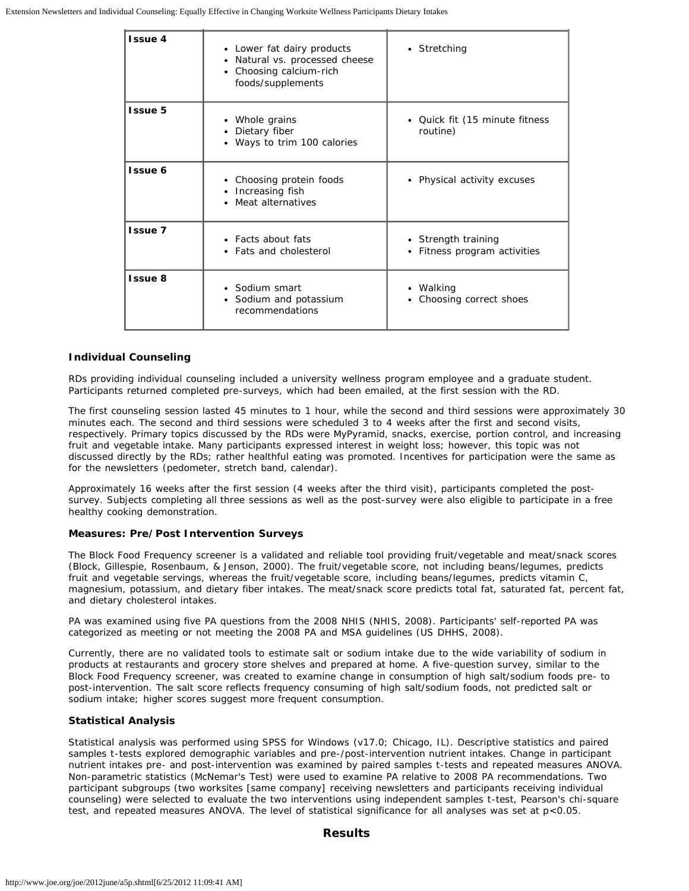| <b>Issue 4</b> | • Lower fat dairy products<br>• Natural vs. processed cheese<br>• Choosing calcium-rich<br>foods/supplements | • Stretching                                        |
|----------------|--------------------------------------------------------------------------------------------------------------|-----------------------------------------------------|
| <b>Issue 5</b> | • Whole grains<br>• Dietary fiber<br>• Ways to trim 100 calories                                             | • Quick fit (15 minute fitness<br>routine)          |
| <b>Issue 6</b> | • Choosing protein foods<br>Increasing fish<br>٠<br>• Meat alternatives                                      | • Physical activity excuses                         |
| Issue 7        | • Facts about fats<br>• Fats and cholesterol                                                                 | • Strength training<br>• Fitness program activities |
| Issue 8        | • Sodium smart<br>• Sodium and potassium<br>recommendations                                                  | • Walking<br>• Choosing correct shoes               |

#### *Individual Counseling*

RDs providing individual counseling included a university wellness program employee and a graduate student. Participants returned completed pre-surveys, which had been emailed, at the first session with the RD.

The first counseling session lasted 45 minutes to 1 hour, while the second and third sessions were approximately 30 minutes each. The second and third sessions were scheduled 3 to 4 weeks after the first and second visits, respectively. Primary topics discussed by the RDs were MyPyramid, snacks, exercise, portion control, and increasing fruit and vegetable intake. Many participants expressed interest in weight loss; however, this topic was not discussed directly by the RDs; rather healthful eating was promoted. Incentives for participation were the same as for the newsletters (pedometer, stretch band, calendar).

Approximately 16 weeks after the first session (4 weeks after the third visit), participants completed the postsurvey. Subjects completing all three sessions as well as the post-survey were also eligible to participate in a free healthy cooking demonstration.

#### **Measures: Pre/Post Intervention Surveys**

The Block Food Frequency screener is a validated and reliable tool providing fruit/vegetable and meat/snack scores (Block, Gillespie, Rosenbaum, & Jenson, 2000). The fruit/vegetable score, not including beans/legumes, predicts fruit and vegetable servings, whereas the fruit/vegetable score, including beans/legumes, predicts vitamin C, magnesium, potassium, and dietary fiber intakes. The meat/snack score predicts total fat, saturated fat, percent fat, and dietary cholesterol intakes.

PA was examined using five PA questions from the 2008 NHIS (NHIS, 2008). Participants' self-reported PA was categorized as meeting or not meeting the 2008 PA and MSA guidelines (US DHHS, 2008).

Currently, there are no validated tools to estimate salt or sodium intake due to the wide variability of sodium in products at restaurants and grocery store shelves and prepared at home. A five-question survey, similar to the Block Food Frequency screener, was created to examine change in consumption of high salt/sodium foods pre- to post-intervention. The salt score reflects frequency consuming of high salt/sodium foods, not predicted salt or sodium intake; higher scores suggest more frequent consumption.

#### **Statistical Analysis**

Statistical analysis was performed using SPSS for Windows (v17.0; Chicago, IL). Descriptive statistics and paired samples *t*-tests explored demographic variables and pre-/post-intervention nutrient intakes. Change in participant nutrient intakes pre- and post-intervention was examined by paired samples *t*-tests and repeated measures ANOVA. Non-parametric statistics (McNemar's Test) were used to examine PA relative to 2008 PA recommendations. Two participant subgroups (two worksites [same company] receiving newsletters and participants receiving individual counseling) were selected to evaluate the two interventions using independent samples *t*-test, Pearson's chi-square test, and repeated measures ANOVA. The level of statistical significance for all analyses was set at *p*<0.05.

#### **Results**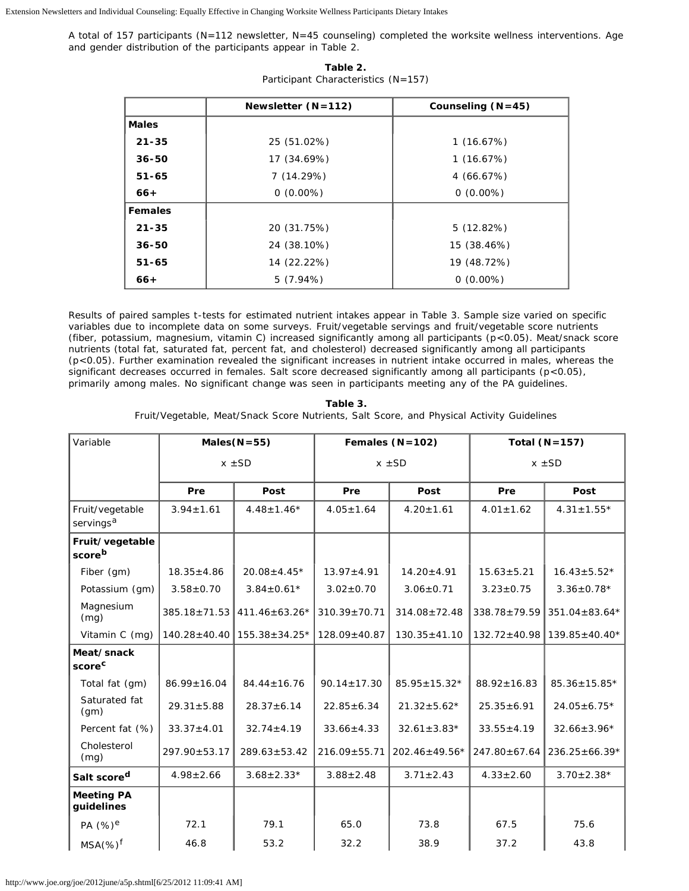Extension Newsletters and Individual Counseling: Equally Effective in Changing Worksite Wellness Participants Dietary Intakes

A total of 157 participants (*N*=112 newsletter, *N*=45 counseling) completed the worksite wellness interventions. Age and gender distribution of the participants appear in Table 2.

|                | Newsletter $(N=112)$<br>Counseling $(N=45)$ |             |  |  |  |
|----------------|---------------------------------------------|-------------|--|--|--|
| <b>Males</b>   |                                             |             |  |  |  |
| $21 - 35$      | 25 (51.02%)<br>1(16.67%)                    |             |  |  |  |
| $36 - 50$      | 17 (34.69%)<br>1(16.67%)                    |             |  |  |  |
| $51 - 65$      | 7(14.29%)<br>4(66.67%)                      |             |  |  |  |
| $66+$          | $0(0.00\%)$                                 | $0(0.00\%)$ |  |  |  |
| <b>Females</b> |                                             |             |  |  |  |
| $21 - 35$      | 20 (31.75%)<br>5(12.82%)                    |             |  |  |  |
| $36 - 50$      | 24 (38.10%)<br>15 (38.46%)                  |             |  |  |  |
| $51 - 65$      | 19 (48.72%)<br>14 (22.22%)                  |             |  |  |  |
| $66+$          | 5(7.94%)                                    | $0(0.00\%)$ |  |  |  |

| Table 2. |                                     |  |  |  |  |
|----------|-------------------------------------|--|--|--|--|
|          | Participant Characteristics (N=157) |  |  |  |  |

Results of paired samples *t*-tests for estimated nutrient intakes appear in Table 3. Sample size varied on specific variables due to incomplete data on some surveys. Fruit/vegetable servings and fruit/vegetable score nutrients (fiber, potassium, magnesium, vitamin C) increased significantly among all participants (*p*<0.05). Meat/snack score nutrients (total fat, saturated fat, percent fat, and cholesterol) decreased significantly among all participants (*p*<0.05). Further examination revealed the significant increases in nutrient intake occurred in males, whereas the significant decreases occurred in females. Salt score decreased significantly among all participants (*p*<0.05), primarily among males. No significant change was seen in participants meeting any of the PA guidelines.

| Variable                                 | Males $(N=55)$     |                     | Females $(N=102)$  |                    | Total $(N=157)$    |                     |
|------------------------------------------|--------------------|---------------------|--------------------|--------------------|--------------------|---------------------|
|                                          | $x \pm SD$         |                     | $x \pm SD$         |                    | $x \pm SD$         |                     |
|                                          | Pre                | Post                | Pre                | Post               | Pre                | Post                |
| Fruit/vegetable<br>servings <sup>a</sup> | $3.94 \pm 1.61$    | $4.48 \pm 1.46*$    | $4.05 \pm 1.64$    | $4.20 \pm 1.61$    | $4.01 \pm 1.62$    | $4.31 \pm 1.55*$    |
| Fruit/vegetable<br>scoreb                |                    |                     |                    |                    |                    |                     |
| Fiber (gm)                               | $18.35 \pm 4.86$   | $20.08 \pm 4.45*$   | $13.97 \pm 4.91$   | $14.20 \pm 4.91$   | $15.63 \pm 5.21$   | $16.43 \pm 5.52*$   |
| Potassium (gm)                           | $3.58 + 0.70$      | $3.84 \pm 0.61*$    | $3.02 \pm 0.70$    | $3.06 \pm 0.71$    | $3.23 \pm 0.75$    | $3.36 \pm 0.78*$    |
| Magnesium<br>(mg)                        | $385.18 \pm 71.53$ | $411.46 \pm 63.26*$ | $310.39 \pm 70.71$ | $314.08 \pm 72.48$ | $338.78 \pm 79.59$ | $351.04 \pm 83.64*$ |
| Vitamin C (mg)                           | $140.28 \pm 40.40$ | $155.38 \pm 34.25*$ | $128.09 + 40.87$   | $130.35 \pm 41.10$ | $132.72 \pm 40.98$ | $139.85 \pm 40.40*$ |
| Meat/snack<br>score <sup>c</sup>         |                    |                     |                    |                    |                    |                     |
| Total fat (gm)                           | $86.99 \pm 16.04$  | $84.44 \pm 16.76$   | $90.14 \pm 17.30$  | $85.95 \pm 15.32*$ | $88.92 \pm 16.83$  | $85.36 \pm 15.85*$  |
| Saturated fat<br>(gm)                    | $29.31 \pm 5.88$   | $28.37 \pm 6.14$    | $22.85 \pm 6.34$   | $21.32 \pm 5.62*$  | $25.35 \pm 6.91$   | $24.05 \pm 6.75*$   |
| Percent fat (%)                          | $33.37 \pm 4.01$   | $32.74 \pm 4.19$    | $33.66 \pm 4.33$   | $32.61 \pm 3.83*$  | $33.55 \pm 4.19$   | $32.66 \pm 3.96*$   |
| Cholesterol<br>(mq)                      | 297.90±53.17       | $289.63 \pm 53.42$  | $216.09 \pm 55.71$ | 202.46±49.56*      | $247.80 \pm 67.64$ | $236.25 \pm 66.39*$ |
| Salt score <sup>d</sup>                  | $4.98 \pm 2.66$    | $3.68 \pm 2.33*$    | $3.88 \pm 2.48$    | $3.71 \pm 2.43$    | $4.33 \pm 2.60$    | $3.70 \pm 2.38*$    |
| <b>Meeting PA</b><br>guidelines          |                    |                     |                    |                    |                    |                     |
| PA (%) <sup>e</sup>                      | 72.1               | 79.1                | 65.0               | 73.8               | 67.5               | 75.6                |
| $MSA(\%)^f$                              | 46.8               | 53.2                | 32.2               | 38.9               | 37.2               | 43.8                |

**Table 3.** Fruit/Vegetable, Meat/Snack Score Nutrients, Salt Score, and Physical Activity Guidelines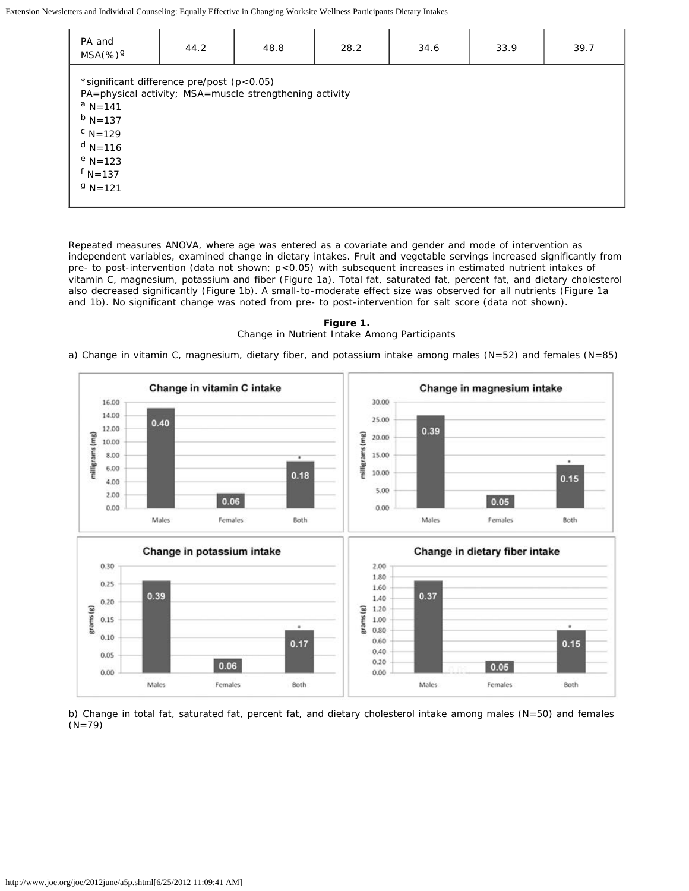Extension Newsletters and Individual Counseling: Equally Effective in Changing Worksite Wellness Participants Dietary Intakes

| PA and<br>$MSA(% \mathscr{A})^{\mathcal{G}}$                                                                                                              | 44.2 | 48.8                                                    | 28.2 | 34.6 | 33.9 | 39.7 |
|-----------------------------------------------------------------------------------------------------------------------------------------------------------|------|---------------------------------------------------------|------|------|------|------|
| *significant difference pre/post $(p<0.05)$<br>$^a$ N=141<br>$^{\rm b}$ N=137<br>$C_{N=129}$<br>$d$ N=116<br>$^{\rm e}$ N=123<br>$f N=137$<br>$9 N = 121$ |      | PA=physical activity; MSA=muscle strengthening activity |      |      |      |      |

Repeated measures ANOVA, where age was entered as a covariate and gender and mode of intervention as independent variables, examined change in dietary intakes. Fruit and vegetable servings increased significantly from pre- to post-intervention (data not shown;  $p<0.05$ ) with subsequent increases in estimated nutrient intakes of vitamin C, magnesium, potassium and fiber (Figure 1a). Total fat, saturated fat, percent fat, and dietary cholesterol also decreased significantly (Figure 1b). A small-to-moderate effect size was observed for all nutrients (Figure 1a and 1b). No significant change was noted from pre- to post-intervention for salt score (data not shown).

**Figure 1.** Change in Nutrient Intake Among Participants

a) Change in vitamin C, magnesium, dietary fiber, and potassium intake among males (N=52) and females (N=85)



b) Change in total fat, saturated fat, percent fat, and dietary cholesterol intake among males (N=50) and females (N=79)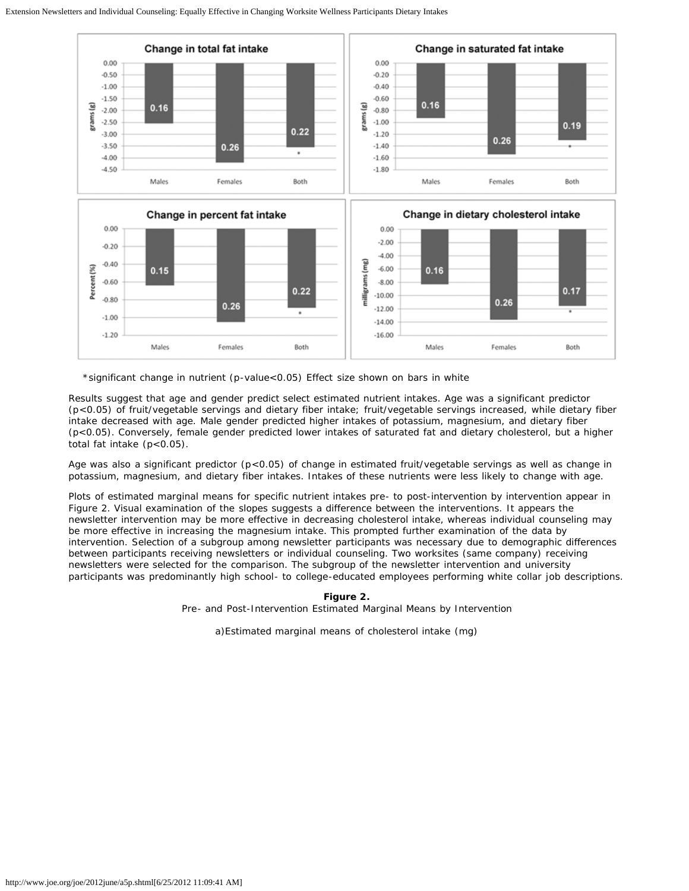

\*significant change in nutrient (*p*-value<0.05) Effect size shown on bars in white

Results suggest that age and gender predict select estimated nutrient intakes. Age was a significant predictor (*p*<0.05) of fruit/vegetable servings and dietary fiber intake; fruit/vegetable servings increased, while dietary fiber intake decreased with age. Male gender predicted higher intakes of potassium, magnesium, and dietary fiber (p<0.05). Conversely, female gender predicted lower intakes of saturated fat and dietary cholesterol, but a higher total fat intake (p<0.05).

Age was also a significant predictor (*p*<0.05) of change in estimated fruit/vegetable servings as well as change in potassium, magnesium, and dietary fiber intakes. Intakes of these nutrients were less likely to change with age.

Plots of estimated marginal means for specific nutrient intakes pre- to post-intervention by intervention appear in Figure 2. Visual examination of the slopes suggests a difference between the interventions. It appears the newsletter intervention may be more effective in decreasing cholesterol intake, whereas individual counseling may be more effective in increasing the magnesium intake. This prompted further examination of the data by intervention. Selection of a subgroup among newsletter participants was necessary due to demographic differences between participants receiving newsletters or individual counseling. Two worksites (same company) receiving newsletters were selected for the comparison. The subgroup of the newsletter intervention and university participants was predominantly high school- to college-educated employees performing white collar job descriptions.

**Figure 2.**

Pre- and Post-Intervention Estimated Marginal Means by Intervention

a)Estimated marginal means of cholesterol intake (mg)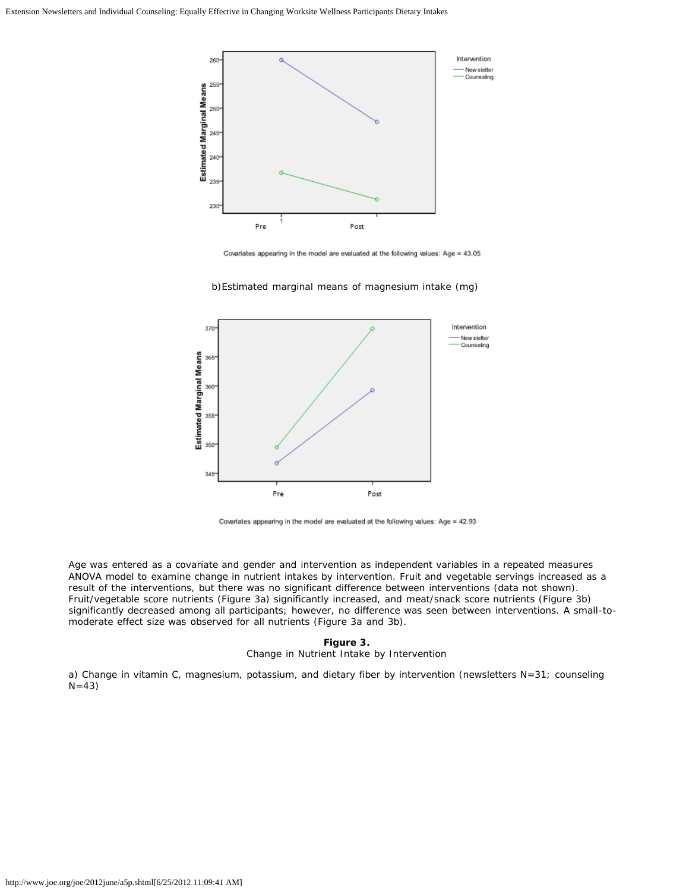

Covariates appearing in the model are evaluated at the following values: Age = 43.05

b)Estimated marginal means of magnesium intake (mg)



Covariates appearing in the model are evaluated at the following values: Age = 42.93

Age was entered as a covariate and gender and intervention as independent variables in a repeated measures ANOVA model to examine change in nutrient intakes by intervention. Fruit and vegetable servings increased as a result of the interventions, but there was no significant difference between interventions (data not shown). Fruit/vegetable score nutrients (Figure 3a) significantly increased, and meat/snack score nutrients (Figure 3b) significantly decreased among all participants; however, no difference was seen between interventions. A small-tomoderate effect size was observed for all nutrients (Figure 3a and 3b).

#### **Figure 3.**

Change in Nutrient Intake by Intervention

a) Change in vitamin C, magnesium, potassium, and dietary fiber by intervention (newsletters *N*=31; counseling *N*=43)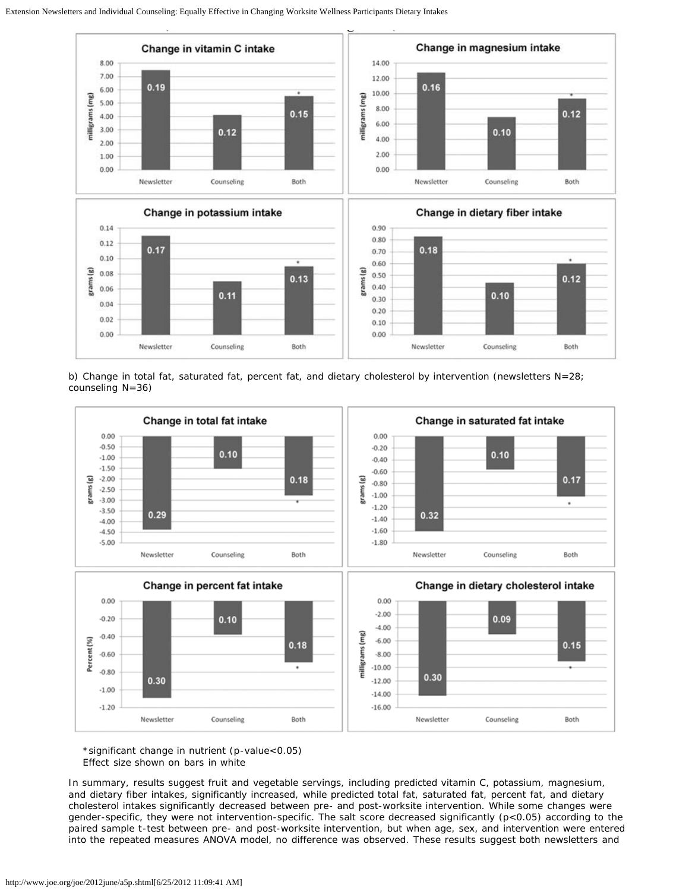

b) Change in total fat, saturated fat, percent fat, and dietary cholesterol by intervention (newsletters N=28; counseling N=36)



\*significant change in nutrient (*p*-value<0.05) Effect size shown on bars in white

In summary, results suggest fruit and vegetable servings, including predicted vitamin C, potassium, magnesium, and dietary fiber intakes, significantly increased, while predicted total fat, saturated fat, percent fat, and dietary cholesterol intakes significantly decreased between pre- and post-worksite intervention. While some changes were gender-specific, they were not intervention-specific. The salt score decreased significantly (p<0.05) according to the paired sample *t*-test between pre- and post-worksite intervention, but when age, sex, and intervention were entered into the repeated measures ANOVA model, no difference was observed. These results suggest both newsletters and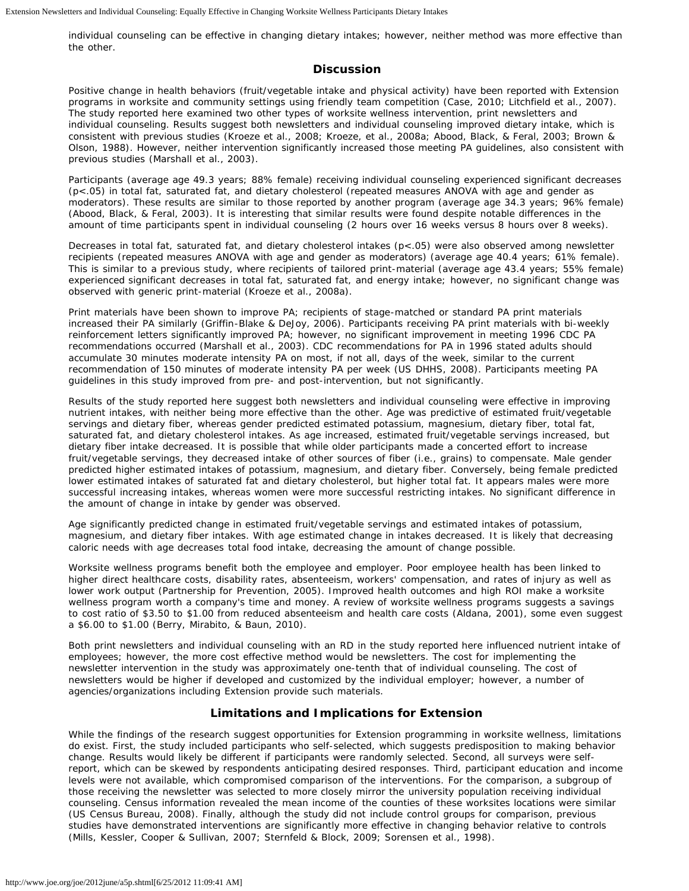individual counseling can be effective in changing dietary intakes; however, neither method was more effective than the other.

#### **Discussion**

Positive change in health behaviors (fruit/vegetable intake and physical activity) have been reported with Extension programs in worksite and community settings using friendly team competition (Case, 2010; Litchfield et al., 2007). The study reported here examined two other types of worksite wellness intervention, print newsletters and individual counseling. Results suggest both newsletters and individual counseling improved dietary intake, which is consistent with previous studies (Kroeze et al., 2008; Kroeze, et al., 2008a; Abood, Black, & Feral, 2003; Brown & Olson, 1988). However, neither intervention significantly increased those meeting PA guidelines, also consistent with previous studies (Marshall et al., 2003).

Participants (average age 49.3 years; 88% female) receiving individual counseling experienced significant decreases (p<.05) in total fat, saturated fat, and dietary cholesterol (repeated measures ANOVA with age and gender as moderators). These results are similar to those reported by another program (average age 34.3 years; 96% female) (Abood, Black, & Feral, 2003). It is interesting that similar results were found despite notable differences in the amount of time participants spent in individual counseling (2 hours over 16 weeks versus 8 hours over 8 weeks).

Decreases in total fat, saturated fat, and dietary cholesterol intakes (p<.05) were also observed among newsletter recipients (repeated measures ANOVA with age and gender as moderators) (average age 40.4 years; 61% female). This is similar to a previous study, where recipients of tailored print-material (average age 43.4 years; 55% female) experienced significant decreases in total fat, saturated fat, and energy intake; however, no significant change was observed with generic print-material (Kroeze et al., 2008a).

Print materials have been shown to improve PA; recipients of stage-matched or standard PA print materials increased their PA similarly (Griffin-Blake & DeJoy, 2006). Participants receiving PA print materials with bi-weekly reinforcement letters significantly improved PA; however, no significant improvement in meeting 1996 CDC PA recommendations occurred (Marshall et al., 2003). CDC recommendations for PA in 1996 stated adults should accumulate 30 minutes moderate intensity PA on most, if not all, days of the week, similar to the current recommendation of 150 minutes of moderate intensity PA per week (US DHHS, 2008). Participants meeting PA guidelines in this study improved from pre- and post-intervention, but not significantly.

Results of the study reported here suggest both newsletters and individual counseling were effective in improving nutrient intakes, with neither being more effective than the other. Age was predictive of estimated fruit/vegetable servings and dietary fiber, whereas gender predicted estimated potassium, magnesium, dietary fiber, total fat, saturated fat, and dietary cholesterol intakes. As age increased, estimated fruit/vegetable servings increased, but dietary fiber intake decreased. It is possible that while older participants made a concerted effort to increase fruit/vegetable servings, they decreased intake of other sources of fiber (i.e., grains) to compensate. Male gender predicted higher estimated intakes of potassium, magnesium, and dietary fiber. Conversely, being female predicted lower estimated intakes of saturated fat and dietary cholesterol, but higher total fat. It appears males were more successful increasing intakes, whereas women were more successful restricting intakes. No significant difference in the amount of change in intake by gender was observed.

Age significantly predicted change in estimated fruit/vegetable servings and estimated intakes of potassium, magnesium, and dietary fiber intakes. With age estimated change in intakes decreased. It is likely that decreasing caloric needs with age decreases total food intake, decreasing the amount of change possible.

Worksite wellness programs benefit both the employee and employer. Poor employee health has been linked to higher direct healthcare costs, disability rates, absenteeism, workers' compensation, and rates of injury as well as lower work output (Partnership for Prevention, 2005). Improved health outcomes and high ROI make a worksite wellness program worth a company's time and money. A review of worksite wellness programs suggests a savings to cost ratio of \$3.50 to \$1.00 from reduced absenteeism and health care costs (Aldana, 2001), some even suggest a \$6.00 to \$1.00 (Berry, Mirabito, & Baun, 2010).

Both print newsletters and individual counseling with an RD in the study reported here influenced nutrient intake of employees; however, the more cost effective method would be newsletters. The cost for implementing the newsletter intervention in the study was approximately one-tenth that of individual counseling. The cost of newsletters would be higher if developed and customized by the individual employer; however, a number of agencies/organizations including Extension provide such materials.

#### **Limitations and Implications for Extension**

While the findings of the research suggest opportunities for Extension programming in worksite wellness, limitations do exist. First, the study included participants who self-selected, which suggests predisposition to making behavior change. Results would likely be different if participants were randomly selected. Second, all surveys were selfreport, which can be skewed by respondents anticipating desired responses. Third, participant education and income levels were not available, which compromised comparison of the interventions. For the comparison, a subgroup of those receiving the newsletter was selected to more closely mirror the university population receiving individual counseling. Census information revealed the mean income of the counties of these worksites locations were similar (US Census Bureau, 2008). Finally, although the study did not include control groups for comparison, previous studies have demonstrated interventions are significantly more effective in changing behavior relative to controls (Mills, Kessler, Cooper & Sullivan, 2007; Sternfeld & Block, 2009; Sorensen et al., 1998).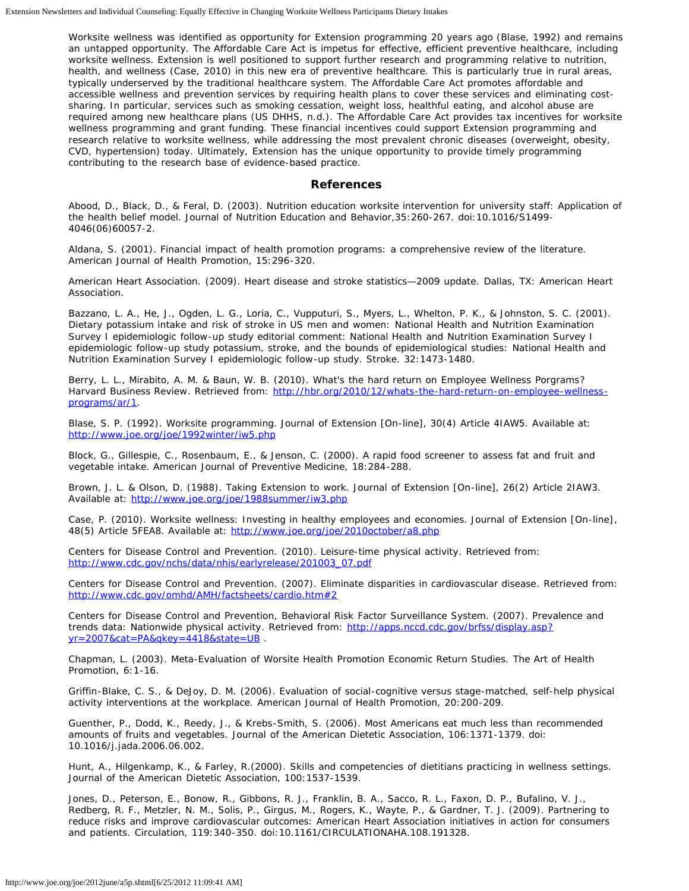Worksite wellness was identified as opportunity for Extension programming 20 years ago (Blase, 1992) and remains an untapped opportunity. The Affordable Care Act is impetus for effective, efficient preventive healthcare, including worksite wellness. Extension is well positioned to support further research and programming relative to nutrition, health, and wellness (Case, 2010) in this new era of preventive healthcare. This is particularly true in rural areas, typically underserved by the traditional healthcare system. The Affordable Care Act promotes affordable and accessible wellness and prevention services by requiring health plans to cover these services and eliminating costsharing. In particular, services such as smoking cessation, weight loss, healthful eating, and alcohol abuse are required among new healthcare plans (US DHHS, n.d.). The Affordable Care Act provides tax incentives for worksite wellness programming and grant funding. These financial incentives could support Extension programming and research relative to worksite wellness, while addressing the most prevalent chronic diseases (overweight, obesity, CVD, hypertension) today. Ultimately, Extension has the unique opportunity to provide timely programming contributing to the research base of evidence-based practice.

#### **References**

Abood, D., Black, D., & Feral, D. (2003). Nutrition education worksite intervention for university staff: Application of the health belief model. *Journal of Nutrition Education and Behavior,35*:260-267. doi:10.1016/S1499- 4046(06)60057-2.

Aldana, S. (2001). Financial impact of health promotion programs: a comprehensive review of the literature. *American Journal of Health Promotion,* 15:296-320.

American Heart Association. (2009). *Heart disease and stroke statistics—2009 update.* Dallas, TX: American Heart Association.

Bazzano, L. A., He, J., Ogden, L. G., Loria, C., Vupputuri, S., Myers, L., Whelton, P. K., & Johnston, S. C. (2001). Dietary potassium intake and risk of stroke in US men and women: National Health and Nutrition Examination Survey I epidemiologic follow-up study editorial comment: National Health and Nutrition Examination Survey I epidemiologic follow-up study potassium, stroke, and the bounds of epidemiological studies: National Health and Nutrition Examination Survey I epidemiologic follow-up study. *Stroke.* 32:1473-1480.

Berry, L. L., Mirabito, A. M. & Baun, W. B. (2010). What's the hard return on Employee Wellness Porgrams? *Harvard Business Review*. Retrieved from: [http://hbr.org/2010/12/whats-the-hard-return-on-employee-wellness](http://hbr.org/2010/12/whats-the-hard-return-on-employee-wellness-programs/ar/1)[programs/ar/1.](http://hbr.org/2010/12/whats-the-hard-return-on-employee-wellness-programs/ar/1)

Blase, S. P. (1992). Worksite programming. *Journal of Extension* [On-line], 30(4) Article 4IAW5. Available at: <http://www.joe.org/joe/1992winter/iw5.php>

Block, G., Gillespie, C., Rosenbaum, E., & Jenson, C. (2000). A rapid food screener to assess fat and fruit and vegetable intake. *American Journal of Preventive Medicine,* 18:284-288.

Brown, J. L. & Olson, D. (1988). Taking Extension to work. *Journal of Extension* [On-line], 26(2) Article 2IAW3. Available at: <http://www.joe.org/joe/1988summer/iw3.php>

Case, P. (2010). Worksite wellness: Investing in healthy employees and economies. *Journal of Extension* [On-line]*,* 48(5) Article 5FEA8. Available at:<http://www.joe.org/joe/2010october/a8.php>

Centers for Disease Control and Prevention. (2010). *Leisure-time physical activity*. Retrieved from: [http://www.cdc.gov/nchs/data/nhis/earlyrelease/201003\\_07.pdf](http://www.cdc.gov/nchs/data/nhis/earlyrelease/201003_07.pdf)

Centers for Disease Control and Prevention. (2007). *Eliminate disparities in cardiovascular disease*. Retrieved from: <http://www.cdc.gov/omhd/AMH/factsheets/cardio.htm#2>

Centers for Disease Control and Prevention, Behavioral Risk Factor Surveillance System. (2007). *Prevalence and trends data: Nationwide physical activity*. Retrieved from: [http://apps.nccd.cdc.gov/brfss/display.asp?](http://apps.nccd.cdc.gov/brfss/display.asp?yr=2007&cat=PA&qkey=4418&state=UB) [yr=2007&cat=PA&qkey=4418&state=UB](http://apps.nccd.cdc.gov/brfss/display.asp?yr=2007&cat=PA&qkey=4418&state=UB) .

Chapman, L. (2003). Meta-Evaluation of Worsite Health Promotion Economic Return Studies. *The Art of Health Promotion,* 6:1-16.

Griffin-Blake, C. S., & DeJoy, D. M. (2006). Evaluation of social-cognitive versus stage-matched, self-help physical activity interventions at the workplace. *American Journal of Health Promotion,* 20:200-209.

Guenther, P., Dodd, K., Reedy, J., & Krebs-Smith, S. (2006). Most Americans eat much less than recommended amounts of fruits and vegetables. *Journal of the American Dietetic Association,* 106:1371-1379. doi: 10.1016/j.jada.2006.06.002.

Hunt, A., Hilgenkamp, K., & Farley, R.(2000). Skills and competencies of dietitians practicing in wellness settings. *Journal of the American Dietetic Association,* 100:1537-1539.

Jones, D., Peterson, E., Bonow, R., Gibbons, R. J., Franklin, B. A., Sacco, R. L., Faxon, D. P., Bufalino, V. J., Redberg, R. F., Metzler, N. M., Solis, P., Girgus, M., Rogers, K., Wayte, P., & Gardner, T. J. (2009). Partnering to reduce risks and improve cardiovascular outcomes: American Heart Association initiatives in action for consumers and patients. *Circulation,* 119:340-350. doi:10.1161/CIRCULATIONAHA.108.191328.